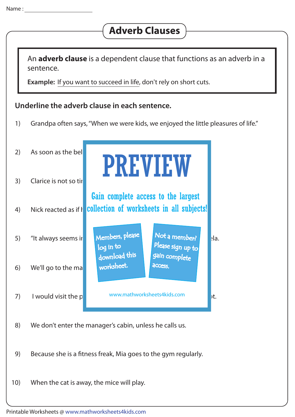## **Adverb Clauses**

An **adverb clause** is a dependent clause that functions as an adverb in a sentence.

**Example:** If you want to succeed in life, don't rely on short cuts.

## **Underline the adverb clause in each sentence.**

1) Grandpa often says, "When we were kids, we enjoyed the little pleasures of life."



- 8) We don't enter the manager's cabin, unless he calls us.
- 9) Because she is a fitness freak, Mia goes to the gym regularly.
- 10) When the cat is away, the mice will play.